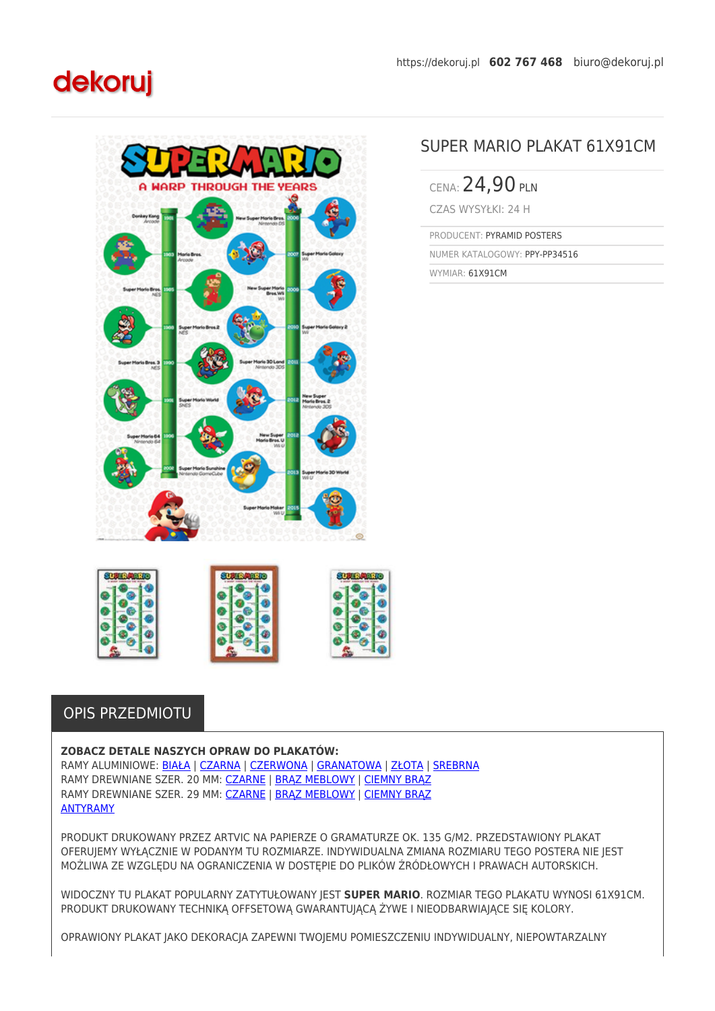## dekoruj



## SUPER MARIO PLAKAT 61X91CM

CENA: 24,90 PLN CZAS WYSYŁKI: 24 H

PRODUCENT: PYRAMID POSTERS

NUMER KATALOGOWY: PPY-PP34516

WYMIAR: 61X91CM



## OPIS PRZEDMIOTU

## **ZOBACZ DETALE NASZYCH OPRAW DO PLAKATÓW:**

RAMY ALUMINIOWE: [BIAŁA](https://dekoruj.pl/rama-aluminiowa-kolor-bialy-al1-1) | [CZARNA](https://dekoruj.pl/rama-aluminiowa-kolor-czarny-polmat-al1-2) | [CZERWONA](https://dekoruj.pl/rama-aluminiowa-kolor-czerwony-al1-3) | [GRANATOWA](https://dekoruj.pl/rama-aluminiowa-kolor-granatowy-al1-7) | [ZŁOTA](https://dekoruj.pl/rama-aluminiowa-kolor-zlota-satyna-al1-9) | [SREBRNA](https://dekoruj.pl/rama-aluminiowa-kolor-srebrna-satyna-al1-10) RAMY DREWNIANE SZER. 20 MM: [CZARNE](https://dekoruj.pl/rama-drewniana-kolor-czarny-polmat-sa-n) | [BRĄZ MEBLOWY](https://dekoruj.pl/rama-drewniana-kolor-jasny-braz-sa-o) | [CIEMNY BRĄZ](https://dekoruj.pl/rama-drewniana-kolor-wenge-sa-p) RAMY DREWNIANE SZER. 29 MM: [CZARNE](https://dekoruj.pl/rama-drewniana-kolor-czarny-polmat-sa-r) | [BRĄZ MEBLOWY](https://dekoruj.pl/rama-drewniana-kolor-jasny-braz-sa-s) | [CIEMNY BRĄZ](https://dekoruj.pl/rama-drewniana-kolor-wenge-sa-t) [ANTYRAMY](https://dekoruj.pl/antyrama-kompletna-z-plexi-anrama)

PRODUKT DRUKOWANY PRZEZ ARTVIC NA PAPIERZE O GRAMATURZE OK. 135 G/M2. PRZEDSTAWIONY PLAKAT OFERUJEMY WYŁĄCZNIE W PODANYM TU ROZMIARZE. INDYWIDUALNA ZMIANA ROZMIARU TEGO POSTERA NIE JEST MOŻLIWA ZE WZGLĘDU NA OGRANICZENIA W DOSTĘPIE DO PLIKÓW ŹRÓDŁOWYCH I PRAWACH AUTORSKICH.

WIDOCZNY TU PLAKAT POPULARNY ZATYTUŁOWANY JEST **SUPER MARIO**. ROZMIAR TEGO PLAKATU WYNOSI 61X91CM. PRODUKT DRUKOWANY TECHNIKĄ OFFSETOWĄ GWARANTUJĄCĄ ŻYWE I NIEODBARWIAJĄCE SIĘ KOLORY.

OPRAWIONY PLAKAT JAKO DEKORACJA ZAPEWNI TWOJEMU POMIESZCZENIU INDYWIDUALNY, NIEPOWTARZALNY